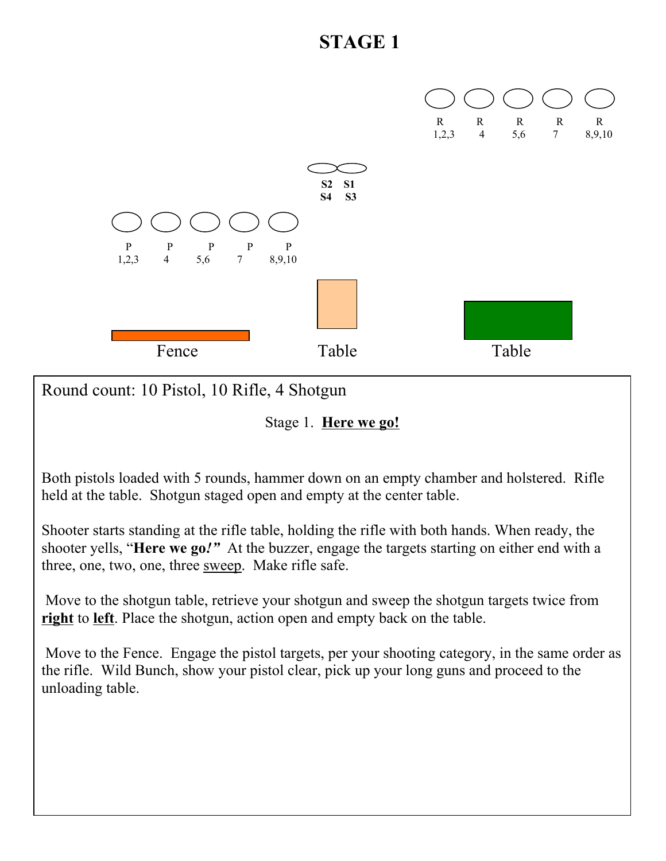

Round count: 10 Pistol, 10 Rifle, 4 Shotgun

Stage 1. **Here we go!**

Both pistols loaded with 5 rounds, hammer down on an empty chamber and holstered. Rifle held at the table. Shotgun staged open and empty at the center table.

Shooter starts standing at the rifle table, holding the rifle with both hands. When ready, the shooter yells, "**Here we go***!"* At the buzzer, engage the targets starting on either end with a three, one, two, one, three sweep. Make rifle safe.

Move to the shotgun table, retrieve your shotgun and sweep the shotgun targets twice from **right** to **left**. Place the shotgun, action open and empty back on the table.

Move to the Fence. Engage the pistol targets, per your shooting category, in the same order as the rifle. Wild Bunch, show your pistol clear, pick up your long guns and proceed to the unloading table.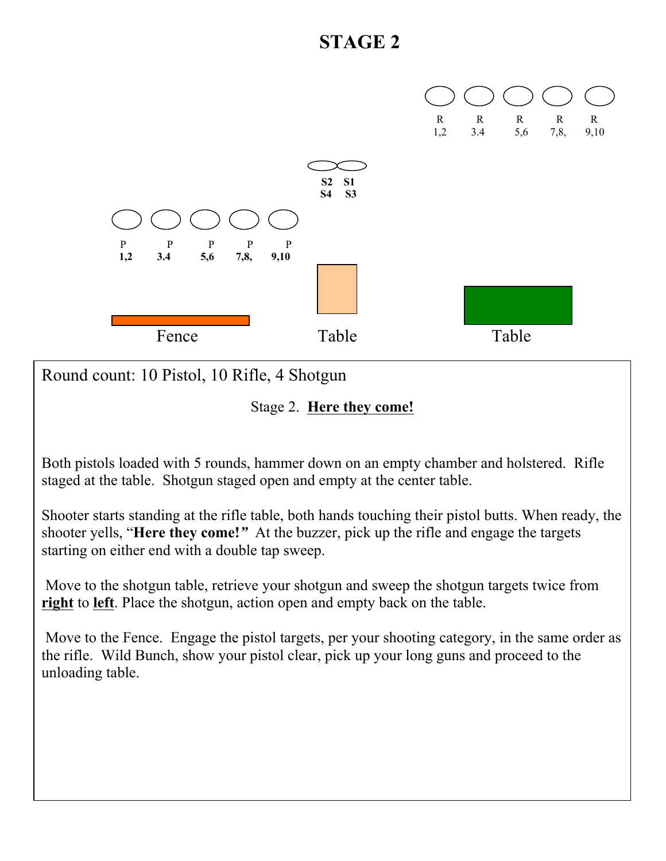

Round count: 10 Pistol, 10 Rifle, 4 Shotgun

Stage 2. **Here they come!**

Both pistols loaded with 5 rounds, hammer down on an empty chamber and holstered. Rifle staged at the table. Shotgun staged open and empty at the center table.

Shooter starts standing at the rifle table, both hands touching their pistol butts. When ready, the shooter yells, "**Here they come!***"* At the buzzer, pick up the rifle and engage the targets starting on either end with a double tap sweep.

 Move to the shotgun table, retrieve your shotgun and sweep the shotgun targets twice from **right** to **left**. Place the shotgun, action open and empty back on the table.

 Move to the Fence. Engage the pistol targets, per your shooting category, in the same order as the rifle. Wild Bunch, show your pistol clear, pick up your long guns and proceed to the unloading table.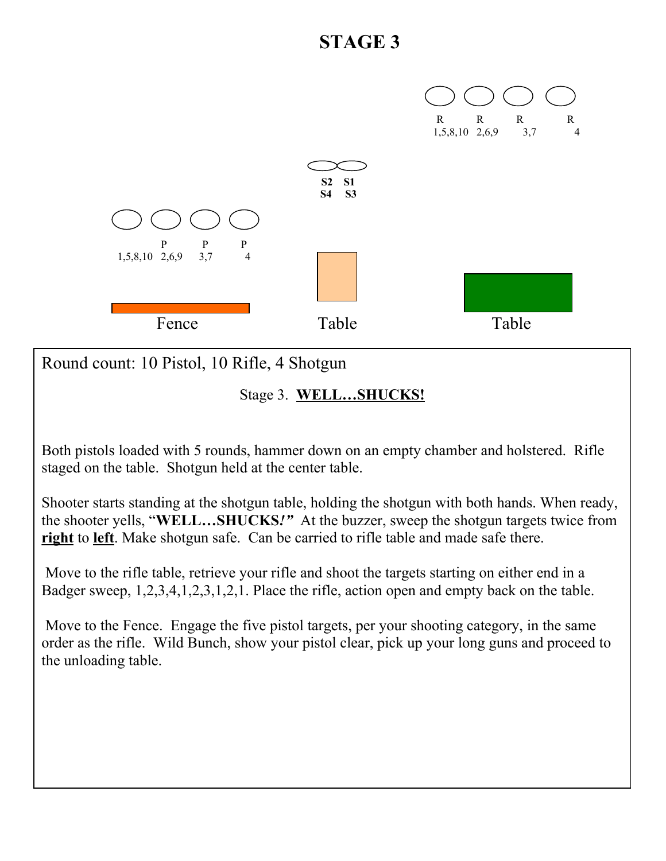